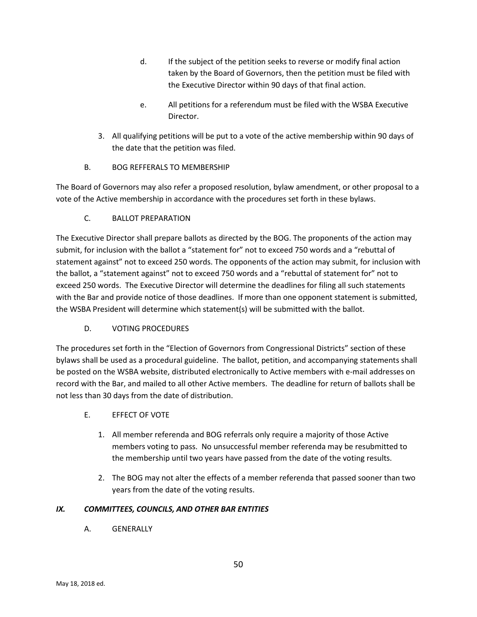- d. If the subject of the petition seeks to reverse or modify final action taken by the Board of Governors, then the petition must be filed with the Executive Director within 90 days of that final action.
- e. All petitions for a referendum must be filed with the WSBA Executive Director.
- 3. All qualifying petitions will be put to a vote of the active membership within 90 days of the date that the petition was filed.
- B. BOG REFFERALS TO MEMBERSHIP

The Board of Governors may also refer a proposed resolution, bylaw amendment, or other proposal to a vote of the Active membership in accordance with the procedures set forth in these bylaws.

# C. BALLOT PREPARATION

The Executive Director shall prepare ballots as directed by the BOG. The proponents of the action may submit, for inclusion with the ballot a "statement for" not to exceed 750 words and a "rebuttal of statement against" not to exceed 250 words. The opponents of the action may submit, for inclusion with the ballot, a "statement against" not to exceed 750 words and a "rebuttal of statement for" not to exceed 250 words. The Executive Director will determine the deadlines for filing all such statements with the Bar and provide notice of those deadlines. If more than one opponent statement is submitted, the WSBA President will determine which statement(s) will be submitted with the ballot.

# D. VOTING PROCEDURES

The procedures set forth in the "Election of Governors from Congressional Districts" section of these bylaws shall be used as a procedural guideline. The ballot, petition, and accompanying statements shall be posted on the WSBA website, distributed electronically to Active members with e-mail addresses on record with the Bar, and mailed to all other Active members. The deadline for return of ballots shall be not less than 30 days from the date of distribution.

# E. EFFECT OF VOTE

- 1. All member referenda and BOG referrals only require a majority of those Active members voting to pass. No unsuccessful member referenda may be resubmitted to the membership until two years have passed from the date of the voting results.
- 2. The BOG may not alter the effects of a member referenda that passed sooner than two years from the date of the voting results.

# *IX. COMMITTEES, COUNCILS, AND OTHER BAR ENTITIES*

A. GENERALLY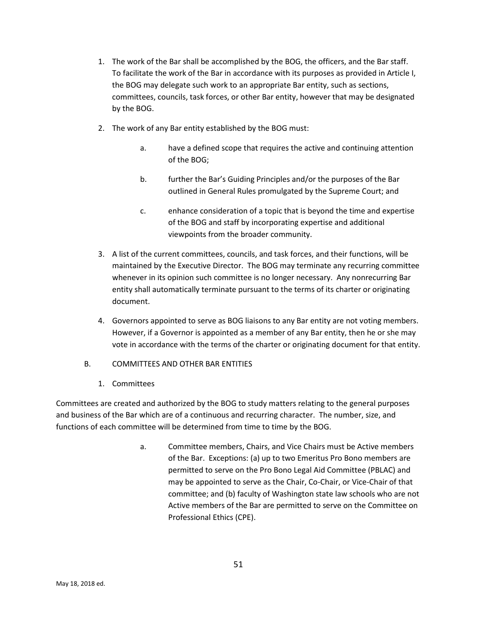- 1. The work of the Bar shall be accomplished by the BOG, the officers, and the Bar staff. To facilitate the work of the Bar in accordance with its purposes as provided in Article I, the BOG may delegate such work to an appropriate Bar entity, such as sections, committees, councils, task forces, or other Bar entity, however that may be designated by the BOG.
- 2. The work of any Bar entity established by the BOG must:
	- a. have a defined scope that requires the active and continuing attention of the BOG;
	- b. further the Bar's Guiding Principles and/or the purposes of the Bar outlined in General Rules promulgated by the Supreme Court; and
	- c. enhance consideration of a topic that is beyond the time and expertise of the BOG and staff by incorporating expertise and additional viewpoints from the broader community.
- 3. A list of the current committees, councils, and task forces, and their functions, will be maintained by the Executive Director. The BOG may terminate any recurring committee whenever in its opinion such committee is no longer necessary. Any nonrecurring Bar entity shall automatically terminate pursuant to the terms of its charter or originating document.
- 4. Governors appointed to serve as BOG liaisons to any Bar entity are not voting members. However, if a Governor is appointed as a member of any Bar entity, then he or she may vote in accordance with the terms of the charter or originating document for that entity.
- B. COMMITTEES AND OTHER BAR ENTITIES
	- 1. Committees

Committees are created and authorized by the BOG to study matters relating to the general purposes and business of the Bar which are of a continuous and recurring character. The number, size, and functions of each committee will be determined from time to time by the BOG.

> a. Committee members, Chairs, and Vice Chairs must be Active members of the Bar. Exceptions: (a) up to two Emeritus Pro Bono members are permitted to serve on the Pro Bono Legal Aid Committee (PBLAC) and may be appointed to serve as the Chair, Co-Chair, or Vice-Chair of that committee; and (b) faculty of Washington state law schools who are not Active members of the Bar are permitted to serve on the Committee on Professional Ethics (CPE).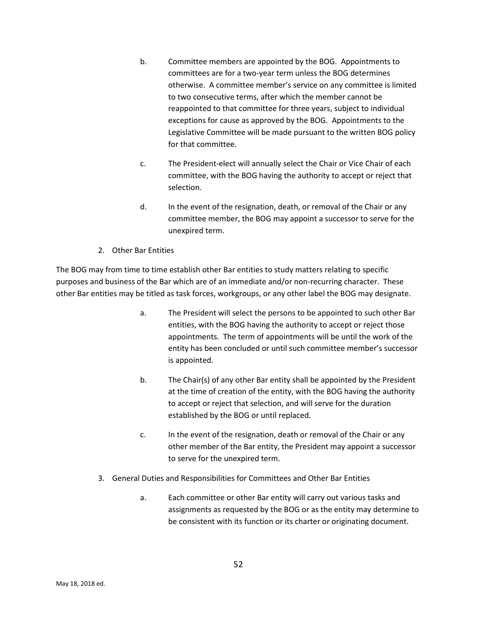- b. Committee members are appointed by the BOG. Appointments to committees are for a two-year term unless the BOG determines otherwise. A committee member's service on any committee is limited to two consecutive terms, after which the member cannot be reappointed to that committee for three years, subject to individual exceptions for cause as approved by the BOG. Appointments to the Legislative Committee will be made pursuant to the written BOG policy for that committee.
- c. The President-elect will annually select the Chair or Vice Chair of each committee, with the BOG having the authority to accept or reject that selection.
- d. In the event of the resignation, death, or removal of the Chair or any committee member, the BOG may appoint a successor to serve for the unexpired term.
- 2. Other Bar Entities

The BOG may from time to time establish other Bar entities to study matters relating to specific purposes and business of the Bar which are of an immediate and/or non-recurring character. These other Bar entities may be titled as task forces, workgroups, or any other label the BOG may designate.

- a. The President will select the persons to be appointed to such other Bar entities, with the BOG having the authority to accept or reject those appointments. The term of appointments will be until the work of the entity has been concluded or until such committee member's successor is appointed.
- b. The Chair(s) of any other Bar entity shall be appointed by the President at the time of creation of the entity, with the BOG having the authority to accept or reject that selection, and will serve for the duration established by the BOG or until replaced.
- c. In the event of the resignation, death or removal of the Chair or any other member of the Bar entity, the President may appoint a successor to serve for the unexpired term.
- 3. General Duties and Responsibilities for Committees and Other Bar Entities
	- a. Each committee or other Bar entity will carry out various tasks and assignments as requested by the BOG or as the entity may determine to be consistent with its function or its charter or originating document.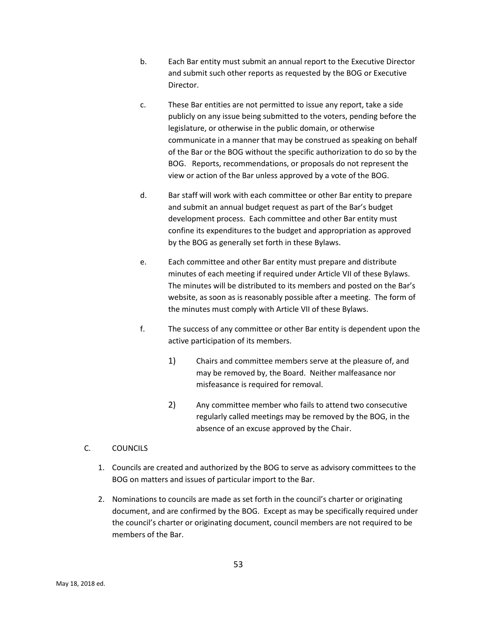- b. Each Bar entity must submit an annual report to the Executive Director and submit such other reports as requested by the BOG or Executive Director.
- c. These Bar entities are not permitted to issue any report, take a side publicly on any issue being submitted to the voters, pending before the legislature, or otherwise in the public domain, or otherwise communicate in a manner that may be construed as speaking on behalf of the Bar or the BOG without the specific authorization to do so by the BOG. Reports, recommendations, or proposals do not represent the view or action of the Bar unless approved by a vote of the BOG.
- d. Bar staff will work with each committee or other Bar entity to prepare and submit an annual budget request as part of the Bar's budget development process. Each committee and other Bar entity must confine its expenditures to the budget and appropriation as approved by the BOG as generally set forth in these Bylaws.
- e. Each committee and other Bar entity must prepare and distribute minutes of each meeting if required under Article VII of these Bylaws. The minutes will be distributed to its members and posted on the Bar's website, as soon as is reasonably possible after a meeting. The form of the minutes must comply with Article VII of these Bylaws.
- f. The success of any committee or other Bar entity is dependent upon the active participation of its members.
	- 1) Chairs and committee members serve at the pleasure of, and may be removed by, the Board. Neither malfeasance nor misfeasance is required for removal.
	- 2) Any committee member who fails to attend two consecutive regularly called meetings may be removed by the BOG, in the absence of an excuse approved by the Chair.
- C. COUNCILS
	- 1. Councils are created and authorized by the BOG to serve as advisory committees to the BOG on matters and issues of particular import to the Bar.
	- 2. Nominations to councils are made as set forth in the council's charter or originating document, and are confirmed by the BOG. Except as may be specifically required under the council's charter or originating document, council members are not required to be members of the Bar.